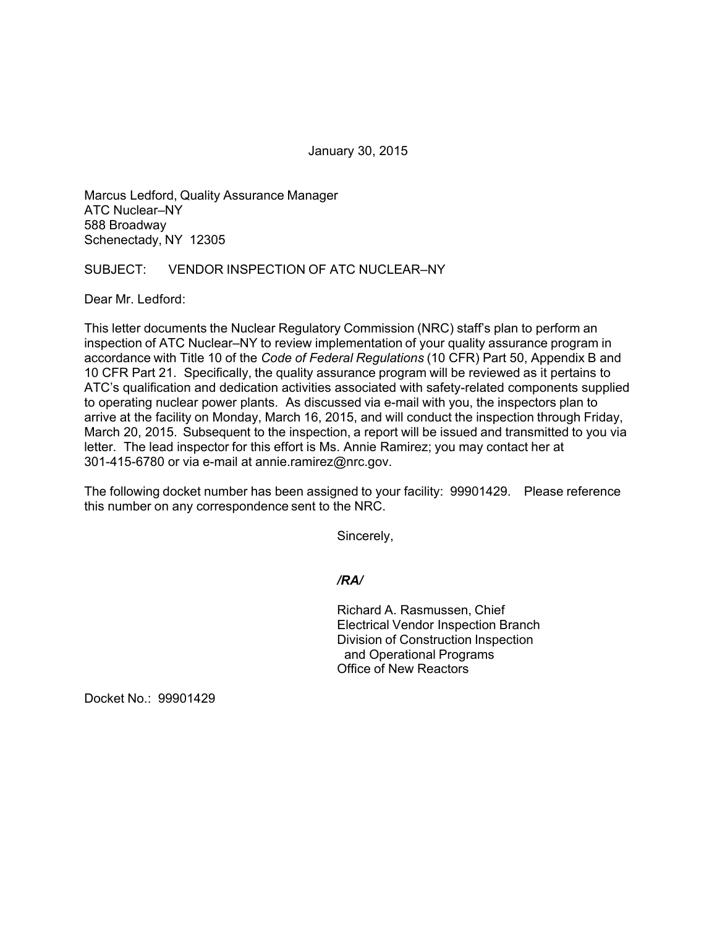January 30, 2015

Marcus Ledford, Quality Assurance Manager ATC Nuclear–NY 588 Broadway Schenectady, NY 12305

## SUBJECT: VENDOR INSPECTION OF ATC NUCLEAR–NY

Dear Mr. Ledford:

This letter documents the Nuclear Regulatory Commission (NRC) staff's plan to perform an inspection of ATC Nuclear–NY to review implementation of your quality assurance program in accordance with Title 10 of the *Code of Federal Regulations* (10 CFR) Part 50, Appendix B and 10 CFR Part 21. Specifically, the quality assurance program will be reviewed as it pertains to ATC's qualification and dedication activities associated with safety-related components supplied to operating nuclear power plants. As discussed via e-mail with you, the inspectors plan to arrive at the facility on Monday, March 16, 2015, and will conduct the inspection through Friday, March 20, 2015. Subsequent to the inspection, a report will be issued and transmitted to you via letter. The lead inspector for this effort is Ms. Annie Ramirez; you may contact her at 301-415-6780 or via e-mail at annie.ramirez@nrc.gov.

The following docket number has been assigned to your facility: 99901429. Please reference this number on any correspondence sent to the NRC.

Sincerely,

*/RA/* 

Richard A. Rasmussen, Chief Electrical Vendor Inspection Branch Division of Construction Inspection and Operational Programs Office of New Reactors

Docket No.: 99901429